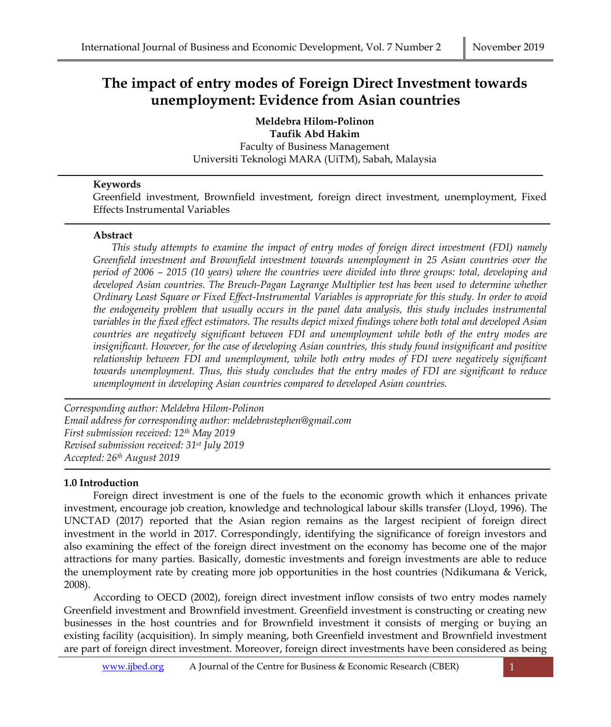# **The impact of entry modes of Foreign Direct Investment towards unemployment: Evidence from Asian countries**

**Meldebra Hilom-Polinon Taufik Abd Hakim** Faculty of Business Management Universiti Teknologi MARA (UiTM), Sabah, Malaysia

# **Keywords**

Greenfield investment, Brownfield investment, foreign direct investment, unemployment, Fixed Effects Instrumental Variables

# **Abstract**

*This study attempts to examine the impact of entry modes of foreign direct investment (FDI) namely Greenfield investment and Brownfield investment towards unemployment in 25 Asian countries over the period of 2006 – 2015 (10 years) where the countries were divided into three groups: total, developing and developed Asian countries. The Breuch-Pagan Lagrange Multiplier test has been used to determine whether Ordinary Least Square or Fixed Effect-Instrumental Variables is appropriate for this study. In order to avoid the endogeneity problem that usually occurs in the panel data analysis, this study includes instrumental variables in the fixed effect estimators. The results depict mixed findings where both total and developed Asian countries are negatively significant between FDI and unemployment while both of the entry modes are insignificant. However, for the case of developing Asian countries, this study found insignificant and positive relationship between FDI and unemployment, while both entry modes of FDI were negatively significant towards unemployment. Thus, this study concludes that the entry modes of FDI are significant to reduce unemployment in developing Asian countries compared to developed Asian countries.*

*Corresponding author: Meldebra Hilom-Polinon Email address for corresponding author: meldebrastephen@gmail.com First submission received: 12th May 2019 Revised submission received: 31st July 2019 Accepted: 26th August 2019*

# **1.0 Introduction**

Foreign direct investment is one of the fuels to the economic growth which it enhances private investment, encourage job creation, knowledge and technological labour skills transfer (Lloyd, 1996). The UNCTAD (2017) reported that the Asian region remains as the largest recipient of foreign direct investment in the world in 2017. Correspondingly, identifying the significance of foreign investors and also examining the effect of the foreign direct investment on the economy has become one of the major attractions for many parties. Basically, domestic investments and foreign investments are able to reduce the unemployment rate by creating more job opportunities in the host countries (Ndikumana & Verick, 2008).

According to OECD (2002), foreign direct investment inflow consists of two entry modes namely Greenfield investment and Brownfield investment. Greenfield investment is constructing or creating new businesses in the host countries and for Brownfield investment it consists of merging or buying an existing facility (acquisition). In simply meaning, both Greenfield investment and Brownfield investment are part of foreign direct investment. Moreover, foreign direct investments have been considered as being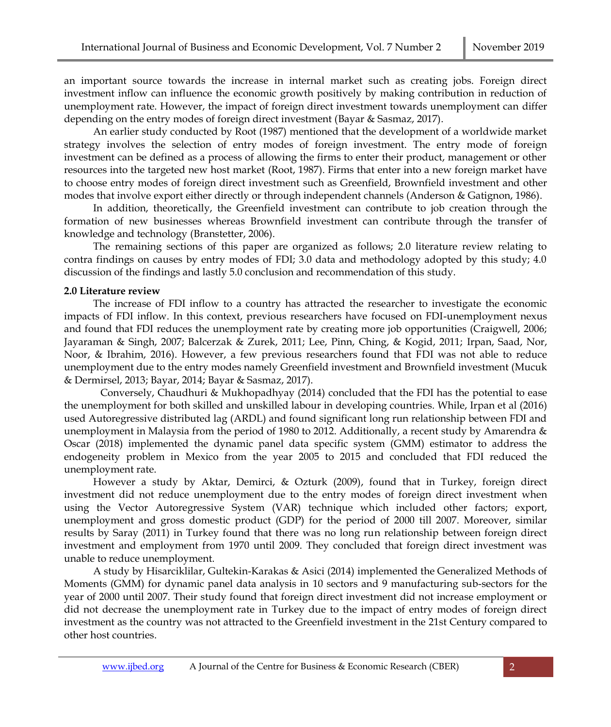an important source towards the increase in internal market such as creating jobs. Foreign direct investment inflow can influence the economic growth positively by making contribution in reduction of unemployment rate. However, the impact of foreign direct investment towards unemployment can differ depending on the entry modes of foreign direct investment (Bayar & Sasmaz, 2017).

An earlier study conducted by Root (1987) mentioned that the development of a worldwide market strategy involves the selection of entry modes of foreign investment. The entry mode of foreign investment can be defined as a process of allowing the firms to enter their product, management or other resources into the targeted new host market (Root, 1987). Firms that enter into a new foreign market have to choose entry modes of foreign direct investment such as Greenfield, Brownfield investment and other modes that involve export either directly or through independent channels (Anderson & Gatignon, 1986).

In addition, theoretically, the Greenfield investment can contribute to job creation through the formation of new businesses whereas Brownfield investment can contribute through the transfer of knowledge and technology (Branstetter, 2006).

The remaining sections of this paper are organized as follows; 2.0 literature review relating to contra findings on causes by entry modes of FDI; 3.0 data and methodology adopted by this study; 4.0 discussion of the findings and lastly 5.0 conclusion and recommendation of this study.

## **2.0 Literature review**

The increase of FDI inflow to a country has attracted the researcher to investigate the economic impacts of FDI inflow. In this context, previous researchers have focused on FDI-unemployment nexus and found that FDI reduces the unemployment rate by creating more job opportunities (Craigwell, 2006; Jayaraman & Singh, 2007; Balcerzak & Zurek, 2011; Lee, Pinn, Ching, & Kogid, 2011; Irpan, Saad, Nor, Noor, & Ibrahim, 2016). However, a few previous researchers found that FDI was not able to reduce unemployment due to the entry modes namely Greenfield investment and Brownfield investment (Mucuk & Dermirsel, 2013; Bayar, 2014; Bayar & Sasmaz, 2017).

Conversely, Chaudhuri & Mukhopadhyay (2014) concluded that the FDI has the potential to ease the unemployment for both skilled and unskilled labour in developing countries. While, Irpan et al (2016) used Autoregressive distributed lag (ARDL) and found significant long run relationship between FDI and unemployment in Malaysia from the period of 1980 to 2012. Additionally, a recent study by Amarendra & Oscar (2018) implemented the dynamic panel data specific system (GMM) estimator to address the endogeneity problem in Mexico from the year 2005 to 2015 and concluded that FDI reduced the unemployment rate.

However a study by Aktar, Demirci, & Ozturk (2009), found that in Turkey, foreign direct investment did not reduce unemployment due to the entry modes of foreign direct investment when using the Vector Autoregressive System (VAR) technique which included other factors; export, unemployment and gross domestic product (GDP) for the period of 2000 till 2007. Moreover, similar results by Saray (2011) in Turkey found that there was no long run relationship between foreign direct investment and employment from 1970 until 2009. They concluded that foreign direct investment was unable to reduce unemployment.

A study by Hisarciklilar, Gultekin-Karakas & Asici (2014) implemented the Generalized Methods of Moments (GMM) for dynamic panel data analysis in 10 sectors and 9 manufacturing sub-sectors for the year of 2000 until 2007. Their study found that foreign direct investment did not increase employment or did not decrease the unemployment rate in Turkey due to the impact of entry modes of foreign direct investment as the country was not attracted to the Greenfield investment in the 21st Century compared to other host countries.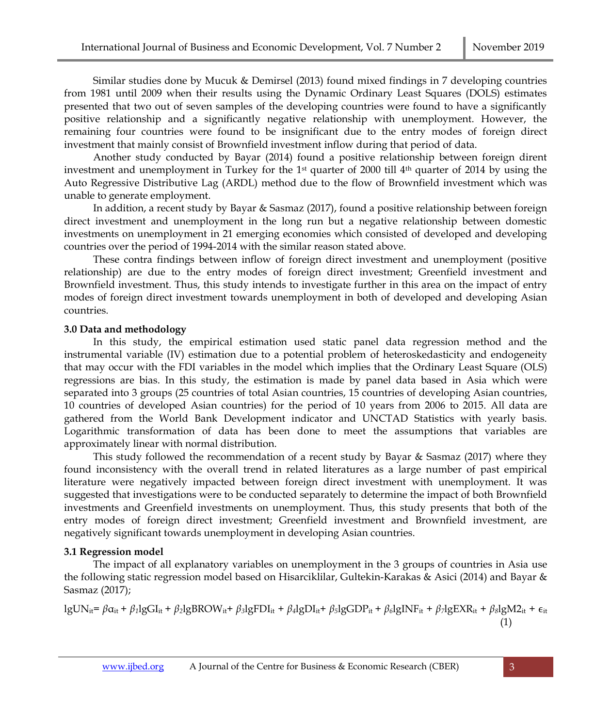Similar studies done by Mucuk & Demirsel (2013) found mixed findings in 7 developing countries from 1981 until 2009 when their results using the Dynamic Ordinary Least Squares (DOLS) estimates presented that two out of seven samples of the developing countries were found to have a significantly positive relationship and a significantly negative relationship with unemployment. However, the remaining four countries were found to be insignificant due to the entry modes of foreign direct investment that mainly consist of Brownfield investment inflow during that period of data.

Another study conducted by Bayar (2014) found a positive relationship between foreign dirent investment and unemployment in Turkey for the 1st quarter of 2000 till 4th quarter of 2014 by using the Auto Regressive Distributive Lag (ARDL) method due to the flow of Brownfield investment which was unable to generate employment.

In addition, a recent study by Bayar & Sasmaz (2017), found a positive relationship between foreign direct investment and unemployment in the long run but a negative relationship between domestic investments on unemployment in 21 emerging economies which consisted of developed and developing countries over the period of 1994-2014 with the similar reason stated above.

These contra findings between inflow of foreign direct investment and unemployment (positive relationship) are due to the entry modes of foreign direct investment; Greenfield investment and Brownfield investment. Thus, this study intends to investigate further in this area on the impact of entry modes of foreign direct investment towards unemployment in both of developed and developing Asian countries.

# **3.0 Data and methodology**

In this study, the empirical estimation used static panel data regression method and the instrumental variable (IV) estimation due to a potential problem of heteroskedasticity and endogeneity that may occur with the FDI variables in the model which implies that the Ordinary Least Square (OLS) regressions are bias. In this study, the estimation is made by panel data based in Asia which were separated into 3 groups (25 countries of total Asian countries, 15 countries of developing Asian countries, 10 countries of developed Asian countries) for the period of 10 years from 2006 to 2015. All data are gathered from the World Bank Development indicator and UNCTAD Statistics with yearly basis. Logarithmic transformation of data has been done to meet the assumptions that variables are approximately linear with normal distribution.

This study followed the recommendation of a recent study by Bayar & Sasmaz (2017) where they found inconsistency with the overall trend in related literatures as a large number of past empirical literature were negatively impacted between foreign direct investment with unemployment. It was suggested that investigations were to be conducted separately to determine the impact of both Brownfield investments and Greenfield investments on unemployment. Thus, this study presents that both of the entry modes of foreign direct investment; Greenfield investment and Brownfield investment, are negatively significant towards unemployment in developing Asian countries.

# **3.1 Regression model**

The impact of all explanatory variables on unemployment in the 3 groups of countries in Asia use the following static regression model based on Hisarciklilar, Gultekin-Karakas & Asici (2014) and Bayar & Sasmaz (2017);

$$
lgUN_{it} = \beta \alpha_{it} + \beta_1 lgGI_{it} + \beta_2 lgBROW_{it} + \beta_3 lgFDI_{it} + \beta_4 lgDI_{it} + \beta_5 lgGDP_{it} + \beta_6 lgINF_{it} + \beta_7 lgEXR_{it} + \beta_8 lgMZ_{it} + \epsilon_{it}
$$
\n(1)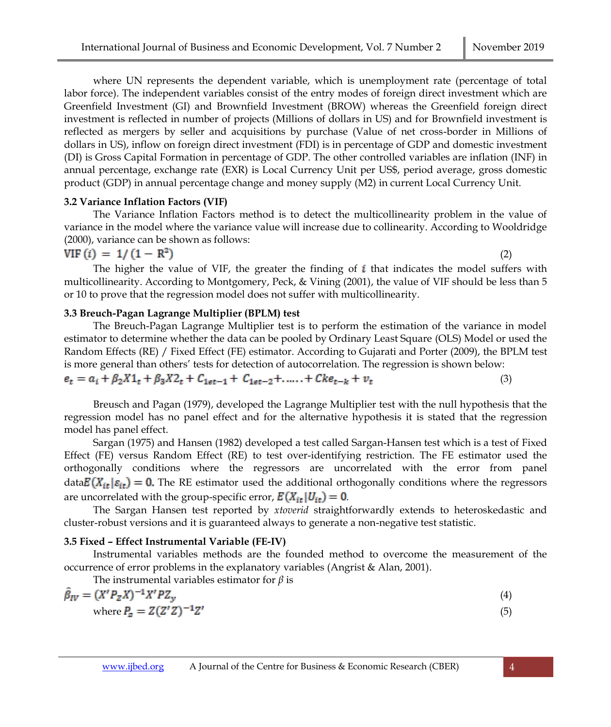where UN represents the dependent variable, which is unemployment rate (percentage of total labor force). The independent variables consist of the entry modes of foreign direct investment which are Greenfield Investment (GI) and Brownfield Investment (BROW) whereas the Greenfield foreign direct investment is reflected in number of projects (Millions of dollars in US) and for Brownfield investment is reflected as mergers by seller and acquisitions by purchase (Value of net cross-border in Millions of dollars in US), inflow on foreign direct investment (FDI) is in percentage of GDP and domestic investment (DI) is Gross Capital Formation in percentage of GDP. The other controlled variables are inflation (INF) in annual percentage, exchange rate (EXR) is Local Currency Unit per US\$, period average, gross domestic product (GDP) in annual percentage change and money supply (M2) in current Local Currency Unit.

#### **3.2 Variance Inflation Factors (VIF)**

The Variance Inflation Factors method is to detect the multicollinearity problem in the value of variance in the model where the variance value will increase due to collinearity. According to Wooldridge (2000), variance can be shown as follows:

$$
VIF(i) = 1/(1 - R2)
$$
 (2)

The higher the value of VIF, the greater the finding of  $i$  that indicates the model suffers with multicollinearity. According to Montgomery, Peck, & Vining (2001), the value of VIF should be less than 5 or 10 to prove that the regression model does not suffer with multicollinearity.

#### **3.3 Breuch-Pagan Lagrange Multiplier (BPLM) test**

The Breuch-Pagan Lagrange Multiplier test is to perform the estimation of the variance in model estimator to determine whether the data can be pooled by Ordinary Least Square (OLS) Model or used the Random Effects (RE) / Fixed Effect (FE) estimator. According to Gujarati and Porter (2009), the BPLM test is more general than others' tests for detection of autocorrelation. The regression is shown below:

$$
e_t = a_i + \beta_2 X 1_t + \beta_3 X 2_t + C_{1et-1} + C_{1et-2} + \dots + C k e_{t-k} + v_t
$$
\n<sup>(3)</sup>

Breusch and Pagan (1979), developed the Lagrange Multiplier test with the null hypothesis that the regression model has no panel effect and for the alternative hypothesis it is stated that the regression model has panel effect.

Sargan (1975) and Hansen (1982) developed a test called Sargan-Hansen test which is a test of Fixed Effect (FE) versus Random Effect (RE) to test over-identifying restriction. The FE estimator used the orthogonally conditions where the regressors are uncorrelated with the error from panel  $\text{data} E(X_{it} | \varepsilon_{it}) = 0$ . The RE estimator used the additional orthogonally conditions where the regressors are uncorrelated with the group-specific error,  $E(X_{it}|U_{it}) = 0$ .

The Sargan Hansen test reported by *xtoverid* straightforwardly extends to heteroskedastic and cluster-robust versions and it is guaranteed always to generate a non-negative test statistic.

#### **3.5 Fixed – Effect Instrumental Variable (FE-IV)**

Instrumental variables methods are the founded method to overcome the measurement of the occurrence of error problems in the explanatory variables (Angrist & Alan, 2001).

The instrumental variables estimator for *β* is

$$
\hat{\beta}_{IV} = (X'P_ZX)^{-1}X'PZ_y
$$
\nwhere  $P_z = Z(Z'Z)^{-1}Z'$  (5)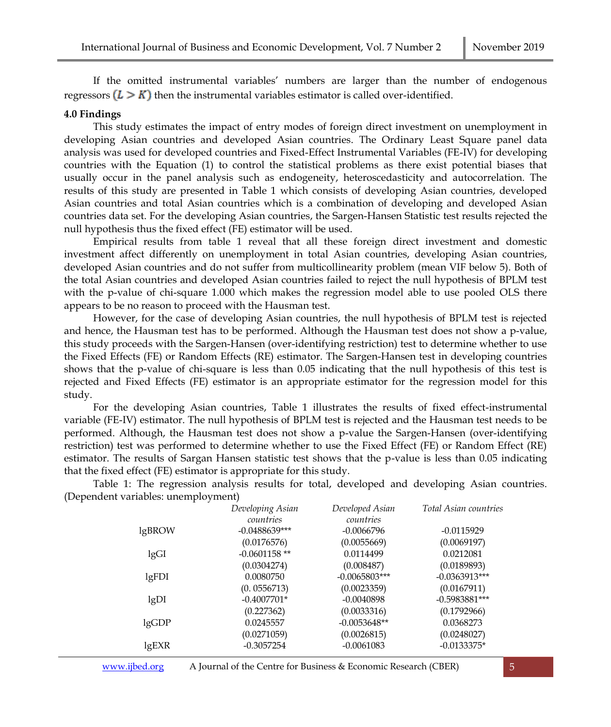If the omitted instrumental variables' numbers are larger than the number of endogenous regressors  $(L > K)$  then the instrumental variables estimator is called over-identified.

#### **4.0 Findings**

This study estimates the impact of entry modes of foreign direct investment on unemployment in developing Asian countries and developed Asian countries. The Ordinary Least Square panel data analysis was used for developed countries and Fixed-Effect Instrumental Variables (FE-IV) for developing countries with the Equation (1) to control the statistical problems as there exist potential biases that usually occur in the panel analysis such as endogeneity, heteroscedasticity and autocorrelation. The results of this study are presented in Table 1 which consists of developing Asian countries, developed Asian countries and total Asian countries which is a combination of developing and developed Asian countries data set. For the developing Asian countries, the Sargen-Hansen Statistic test results rejected the null hypothesis thus the fixed effect (FE) estimator will be used.

Empirical results from table 1 reveal that all these foreign direct investment and domestic investment affect differently on unemployment in total Asian countries, developing Asian countries, developed Asian countries and do not suffer from multicollinearity problem (mean VIF below 5). Both of the total Asian countries and developed Asian countries failed to reject the null hypothesis of BPLM test with the p-value of chi-square 1.000 which makes the regression model able to use pooled OLS there appears to be no reason to proceed with the Hausman test.

However, for the case of developing Asian countries, the null hypothesis of BPLM test is rejected and hence, the Hausman test has to be performed. Although the Hausman test does not show a p-value, this study proceeds with the Sargen-Hansen (over-identifying restriction) test to determine whether to use the Fixed Effects (FE) or Random Effects (RE) estimator. The Sargen-Hansen test in developing countries shows that the p-value of chi-square is less than 0.05 indicating that the null hypothesis of this test is rejected and Fixed Effects (FE) estimator is an appropriate estimator for the regression model for this study.

For the developing Asian countries, Table 1 illustrates the results of fixed effect-instrumental variable (FE-IV) estimator. The null hypothesis of BPLM test is rejected and the Hausman test needs to be performed. Although, the Hausman test does not show a p-value the Sargen-Hansen (over-identifying restriction) test was performed to determine whether to use the Fixed Effect (FE) or Random Effect (RE) estimator. The results of Sargan Hansen statistic test shows that the p-value is less than 0.05 indicating that the fixed effect (FE) estimator is appropriate for this study.

Table 1: The regression analysis results for total, developed and developing Asian countries. (Dependent variables: unemployment)

|        | Developing Asian | Developed Asian | Total Asian countries |
|--------|------------------|-----------------|-----------------------|
|        | countries        | countries       |                       |
| lgBROW | $-0.0488639***$  | $-0.0066796$    | $-0.0115929$          |
|        | (0.0176576)      | (0.0055669)     | (0.0069197)           |
| lgGI   | $-0.0601158$ **  | 0.0114499       | 0.0212081             |
|        | (0.0304274)      | (0.008487)      | (0.0189893)           |
| lgFDI  | 0.0080750        | $-0.0065803***$ | $-0.0363913***$       |
|        | (0.0556713)      | (0.0023359)     | (0.0167911)           |
| lgDI   | $-0.4007701*$    | $-0.0040898$    | $-0.5983881***$       |
|        | (0.227362)       | (0.0033316)     | (0.1792966)           |
| lgGDP  | 0.0245557        | $-0.0053648**$  | 0.0368273             |
|        | (0.0271059)      | (0.0026815)     | (0.0248027)           |
| lgEXR  | $-0.3057254$     | $-0.0061083$    | $-0.0133375*$         |
|        |                  |                 |                       |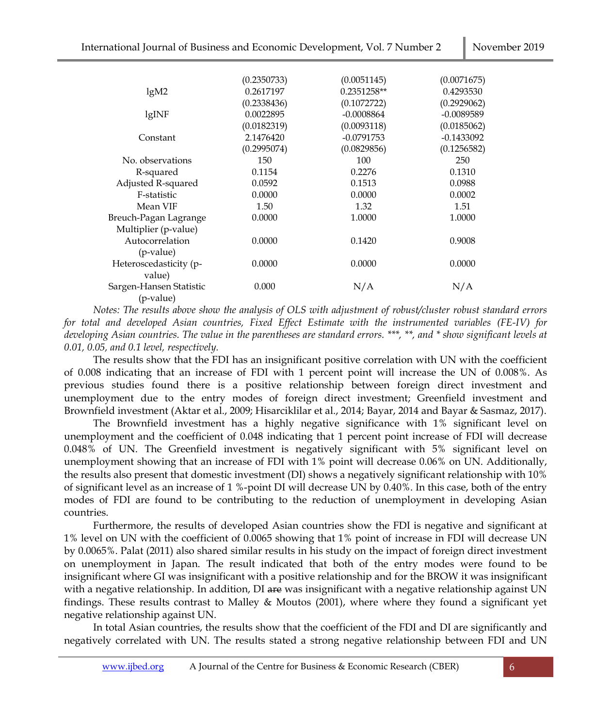|                         | (0.2350733) | (0.0051145)   | (0.0071675)  |
|-------------------------|-------------|---------------|--------------|
| lgM2                    | 0.2617197   | $0.2351258**$ | 0.4293530    |
|                         | (0.2338436) | (0.1072722)   | (0.2929062)  |
| lgINF                   | 0.0022895   | $-0.0008864$  | $-0.0089589$ |
|                         | (0.0182319) | (0.0093118)   | (0.0185062)  |
| Constant                | 2.1476420   | $-0.0791753$  | $-0.1433092$ |
|                         | (0.2995074) | (0.0829856)   | (0.1256582)  |
| No. observations        | 150         | 100           | 250          |
| R-squared               | 0.1154      | 0.2276        | 0.1310       |
| Adjusted R-squared      | 0.0592      | 0.1513        | 0.0988       |
| F-statistic             | 0.0000      | 0.0000        | 0.0002       |
| Mean VIF                | 1.50        | 1.32          | 1.51         |
| Breuch-Pagan Lagrange   | 0.0000      | 1.0000        | 1.0000       |
| Multiplier (p-value)    |             |               |              |
| Autocorrelation         | 0.0000      | 0.1420        | 0.9008       |
| (p-value)               |             |               |              |
| Heteroscedasticity (p-  | 0.0000      | 0.0000        | 0.0000       |
| value)                  |             |               |              |
| Sargen-Hansen Statistic | 0.000       | N/A           | N/A          |
| (p-value)               |             |               |              |

*Notes: The results above show the analysis of OLS with adjustment of robust/cluster robust standard errors for total and developed Asian countries, Fixed Effect Estimate with the instrumented variables (FE-IV) for developing Asian countries. The value in the parentheses are standard errors. \*\*\*, \*\*, and \* show significant levels at 0.01, 0.05, and 0.1 level, respectively.*

The results show that the FDI has an insignificant positive correlation with UN with the coefficient of 0.008 indicating that an increase of FDI with 1 percent point will increase the UN of 0.008%. As previous studies found there is a positive relationship between foreign direct investment and unemployment due to the entry modes of foreign direct investment; Greenfield investment and Brownfield investment (Aktar et al., 2009; Hisarciklilar et al., 2014; Bayar, 2014 and Bayar & Sasmaz, 2017).

The Brownfield investment has a highly negative significance with 1% significant level on unemployment and the coefficient of 0.048 indicating that 1 percent point increase of FDI will decrease 0.048% of UN. The Greenfield investment is negatively significant with 5% significant level on unemployment showing that an increase of FDI with 1% point will decrease 0.06% on UN. Additionally, the results also present that domestic investment (DI) shows a negatively significant relationship with 10% of significant level as an increase of 1 %-point DI will decrease UN by 0.40%. In this case, both of the entry modes of FDI are found to be contributing to the reduction of unemployment in developing Asian countries.

Furthermore, the results of developed Asian countries show the FDI is negative and significant at 1% level on UN with the coefficient of 0.0065 showing that 1% point of increase in FDI will decrease UN by 0.0065%. Palat (2011) also shared similar results in his study on the impact of foreign direct investment on unemployment in Japan. The result indicated that both of the entry modes were found to be insignificant where GI was insignificant with a positive relationship and for the BROW it was insignificant with a negative relationship. In addition, DI are was insignificant with a negative relationship against UN findings. These results contrast to Malley & Moutos (2001), where where they found a significant yet negative relationship against UN.

In total Asian countries, the results show that the coefficient of the FDI and DI are significantly and negatively correlated with UN. The results stated a strong negative relationship between FDI and UN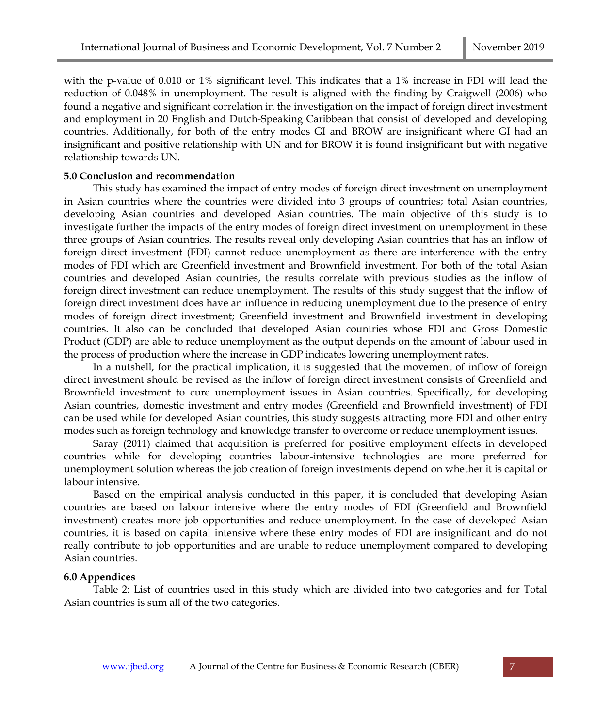with the p-value of 0.010 or 1% significant level. This indicates that a 1% increase in FDI will lead the reduction of 0.048% in unemployment. The result is aligned with the finding by Craigwell (2006) who found a negative and significant correlation in the investigation on the impact of foreign direct investment and employment in 20 English and Dutch-Speaking Caribbean that consist of developed and developing countries. Additionally, for both of the entry modes GI and BROW are insignificant where GI had an insignificant and positive relationship with UN and for BROW it is found insignificant but with negative relationship towards UN.

## **5.0 Conclusion and recommendation**

This study has examined the impact of entry modes of foreign direct investment on unemployment in Asian countries where the countries were divided into 3 groups of countries; total Asian countries, developing Asian countries and developed Asian countries. The main objective of this study is to investigate further the impacts of the entry modes of foreign direct investment on unemployment in these three groups of Asian countries. The results reveal only developing Asian countries that has an inflow of foreign direct investment (FDI) cannot reduce unemployment as there are interference with the entry modes of FDI which are Greenfield investment and Brownfield investment. For both of the total Asian countries and developed Asian countries, the results correlate with previous studies as the inflow of foreign direct investment can reduce unemployment. The results of this study suggest that the inflow of foreign direct investment does have an influence in reducing unemployment due to the presence of entry modes of foreign direct investment; Greenfield investment and Brownfield investment in developing countries. It also can be concluded that developed Asian countries whose FDI and Gross Domestic Product (GDP) are able to reduce unemployment as the output depends on the amount of labour used in the process of production where the increase in GDP indicates lowering unemployment rates.

In a nutshell, for the practical implication, it is suggested that the movement of inflow of foreign direct investment should be revised as the inflow of foreign direct investment consists of Greenfield and Brownfield investment to cure unemployment issues in Asian countries. Specifically, for developing Asian countries, domestic investment and entry modes (Greenfield and Brownfield investment) of FDI can be used while for developed Asian countries, this study suggests attracting more FDI and other entry modes such as foreign technology and knowledge transfer to overcome or reduce unemployment issues.

Saray (2011) claimed that acquisition is preferred for positive employment effects in developed countries while for developing countries labour-intensive technologies are more preferred for unemployment solution whereas the job creation of foreign investments depend on whether it is capital or labour intensive.

Based on the empirical analysis conducted in this paper, it is concluded that developing Asian countries are based on labour intensive where the entry modes of FDI (Greenfield and Brownfield investment) creates more job opportunities and reduce unemployment. In the case of developed Asian countries, it is based on capital intensive where these entry modes of FDI are insignificant and do not really contribute to job opportunities and are unable to reduce unemployment compared to developing Asian countries.

## **6.0 Appendices**

Table 2: List of countries used in this study which are divided into two categories and for Total Asian countries is sum all of the two categories.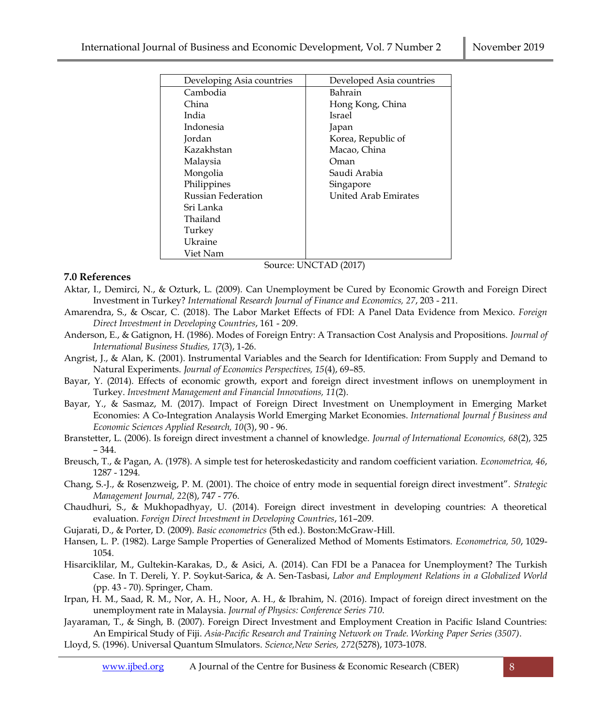| Developing Asia countries | Developed Asia countries    |
|---------------------------|-----------------------------|
| Cambodia                  | Bahrain                     |
| China                     | Hong Kong, China            |
| India                     | Israel                      |
| Indonesia                 | Japan                       |
| Jordan                    | Korea, Republic of          |
| Kazakhstan                | Macao, China                |
| Malaysia                  | Oman                        |
| Mongolia                  | Saudi Arabia                |
| Philippines               | Singapore                   |
| Russian Federation        | <b>United Arab Emirates</b> |
| Sri Lanka                 |                             |
| Thailand                  |                             |
| Turkey                    |                             |
| Ukraine                   |                             |
| Viet Nam                  |                             |

Source: UNCTAD (2017)

# **7.0 References**

- Aktar, I., Demirci, N., & Ozturk, L. (2009). Can Unemployment be Cured by Economic Growth and Foreign Direct Investment in Turkey? *International Research Journal of Finance and Economics, 27*, 203 - 211.
- Amarendra, S., & Oscar, C. (2018). The Labor Market Effects of FDI: A Panel Data Evidence from Mexico. *Foreign Direct Investment in Developing Countries*, 161 - 209.
- Anderson, E., & Gatignon, H. (1986). Modes of Foreign Entry: A Transaction Cost Analysis and Propositions. *Journal of International Business Studies, 17*(3), 1-26.
- Angrist, J., & Alan, K. (2001). Instrumental Variables and the Search for Identification: From Supply and Demand to Natural Experiments. *Journal of Economics Perspectives, 15*(4), 69–85.
- Bayar, Y. (2014). Effects of economic growth, export and foreign direct investment inflows on unemployment in Turkey. *Investment Management and Financial Innovations, 11*(2).
- Bayar, Y., & Sasmaz, M. (2017). Impact of Foreign Direct Investment on Unemployment in Emerging Market Economies: A Co-Integration Analaysis World Emerging Market Economies. *International Journal f Business and Economic Sciences Applied Research, 10*(3), 90 - 96.
- Branstetter, L. (2006). Is foreign direct investment a channel of knowledge. *Journal of International Economics, 68*(2), 325 – 344.
- Breusch, T., & Pagan, A. (1978). A simple test for heteroskedasticity and random coefficient variation. *Econometrica, 46*, 1287 - 1294.
- Chang, S.‐J., & Rosenzweig, P. M. (2001). The choice of entry mode in sequential foreign direct investment". *Strategic Management Journal, 22*(8), 747 - 776.
- Chaudhuri, S., & Mukhopadhyay, U. (2014). Foreign direct investment in developing countries: A theoretical evaluation. *Foreign Direct Investment in Developing Countries*, 161–209.
- Gujarati, D., & Porter, D. (2009). *Basic econometrics* (5th ed.). Boston:McGraw-Hill.
- Hansen, L. P. (1982). Large Sample Properties of Generalized Method of Moments Estimators. *Econometrica, 50*, 1029- 1054.
- Hisarciklilar, M., Gultekin-Karakas, D., & Asici, A. (2014). Can FDI be a Panacea for Unemployment? The Turkish Case. In T. Dereli, Y. P. Soykut-Sarica, & A. Sen-Tasbasi, *Labor and Employment Relations in a Globalized World* (pp. 43 - 70). Springer, Cham.
- Irpan, H. M., Saad, R. M., Nor, A. H., Noor, A. H., & Ibrahim, N. (2016). Impact of foreign direct investment on the unemployment rate in Malaysia. *Journal of Physics: Conference Series 710*.
- Jayaraman, T., & Singh, B. (2007). Foreign Direct Investment and Employment Creation in Pacific Island Countries: An Empirical Study of Fiji. *Asia-Pacific Research and Training Network on Trade. Working Paper Series (3507)*.

Lloyd, S. (1996). Universal Quantum SImulators. *Science,New Series, 272*(5278), 1073-1078.